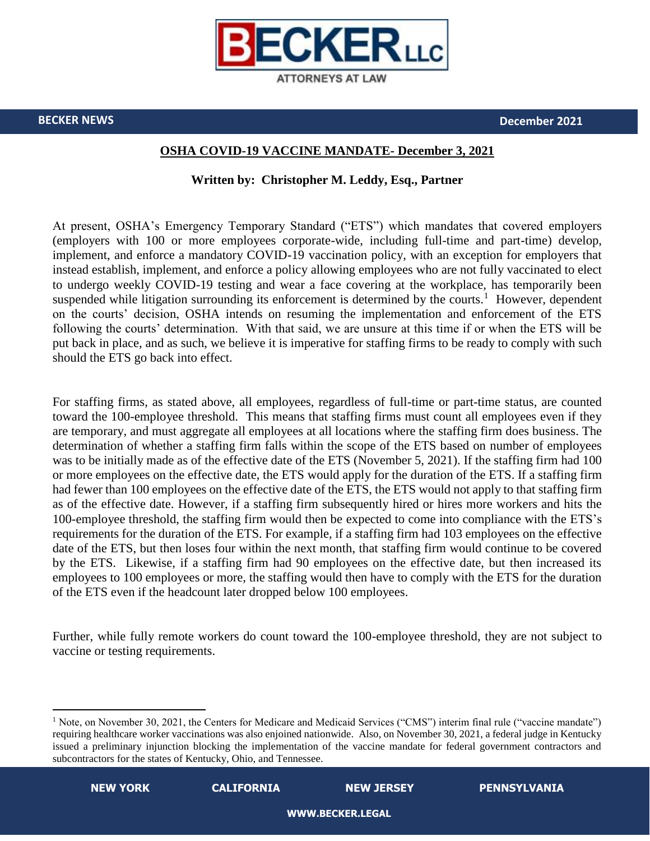

**BECKER NEWS December 2021**

## **OSHA COVID-19 VACCINE MANDATE- December 3, 2021**

## **Written by: Christopher M. Leddy, Esq., Partner**

At present, OSHA's Emergency Temporary Standard ("ETS") which mandates that covered employers (employers with 100 or more employees corporate-wide, including full-time and part-time) develop, implement, and enforce a mandatory COVID-19 vaccination policy, with an exception for employers that instead establish, implement, and enforce a policy allowing employees who are not fully vaccinated to elect to undergo weekly COVID-19 testing and wear a face covering at the workplace, has temporarily been suspended while litigation surrounding its enforcement is determined by the courts.<sup>1</sup> However, dependent on the courts' decision, OSHA intends on resuming the implementation and enforcement of the ETS following the courts' determination. With that said, we are unsure at this time if or when the ETS will be put back in place, and as such, we believe it is imperative for staffing firms to be ready to comply with such should the ETS go back into effect.

For staffing firms, as stated above, all employees, regardless of full-time or part-time status, are counted toward the 100-employee threshold. This means that staffing firms must count all employees even if they are temporary, and must aggregate all employees at all locations where the staffing firm does business. The determination of whether a staffing firm falls within the scope of the ETS based on number of employees was to be initially made as of the effective date of the ETS (November 5, 2021). If the staffing firm had 100 or more employees on the effective date, the ETS would apply for the duration of the ETS. If a staffing firm had fewer than 100 employees on the effective date of the ETS, the ETS would not apply to that staffing firm as of the effective date. However, if a staffing firm subsequently hired or hires more workers and hits the 100-employee threshold, the staffing firm would then be expected to come into compliance with the ETS's requirements for the duration of the ETS. For example, if a staffing firm had 103 employees on the effective date of the ETS, but then loses four within the next month, that staffing firm would continue to be covered by the ETS. Likewise, if a staffing firm had 90 employees on the effective date, but then increased its employees to 100 employees or more, the staffing would then have to comply with the ETS for the duration of the ETS even if the headcount later dropped below 100 employees.

Further, while fully remote workers do count toward the 100-employee threshold, they are not subject to vaccine or testing requirements.

 $\overline{a}$ 

<sup>&</sup>lt;sup>1</sup> Note, on November 30, 2021, the Centers for Medicare and Medicaid Services ("CMS") interim final rule ("vaccine mandate") requiring healthcare worker vaccinations was also enjoined nationwide. Also, on November 30, 2021, a federal judge in Kentucky issued a preliminary injunction blocking the implementation of the vaccine mandate for federal government contractors and subcontractors for the states of Kentucky, Ohio, and Tennessee.